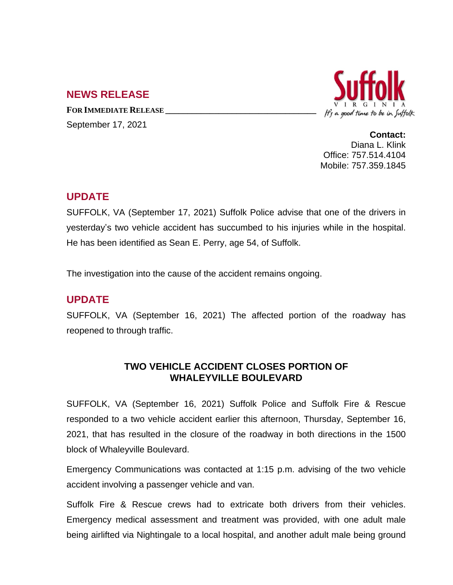## **NEWS RELEASE**

**FOR IMMEDIATE RELEASE \_\_\_\_\_\_\_\_\_\_\_\_\_\_\_\_\_\_\_\_\_\_\_\_\_\_\_\_\_\_\_\_\_\_**

September 17, 2021



**Contact:** Diana L. Klink Office: 757.514.4104 Mobile: 757.359.1845

## **UPDATE**

SUFFOLK, VA (September 17, 2021) Suffolk Police advise that one of the drivers in yesterday's two vehicle accident has succumbed to his injuries while in the hospital. He has been identified as Sean E. Perry, age 54, of Suffolk.

The investigation into the cause of the accident remains ongoing.

## **UPDATE**

SUFFOLK, VA (September 16, 2021) The affected portion of the roadway has reopened to through traffic.

## **TWO VEHICLE ACCIDENT CLOSES PORTION OF WHALEYVILLE BOULEVARD**

SUFFOLK, VA (September 16, 2021) Suffolk Police and Suffolk Fire & Rescue responded to a two vehicle accident earlier this afternoon, Thursday, September 16, 2021, that has resulted in the closure of the roadway in both directions in the 1500 block of Whaleyville Boulevard.

Emergency Communications was contacted at 1:15 p.m. advising of the two vehicle accident involving a passenger vehicle and van.

Suffolk Fire & Rescue crews had to extricate both drivers from their vehicles. Emergency medical assessment and treatment was provided, with one adult male being airlifted via Nightingale to a local hospital, and another adult male being ground